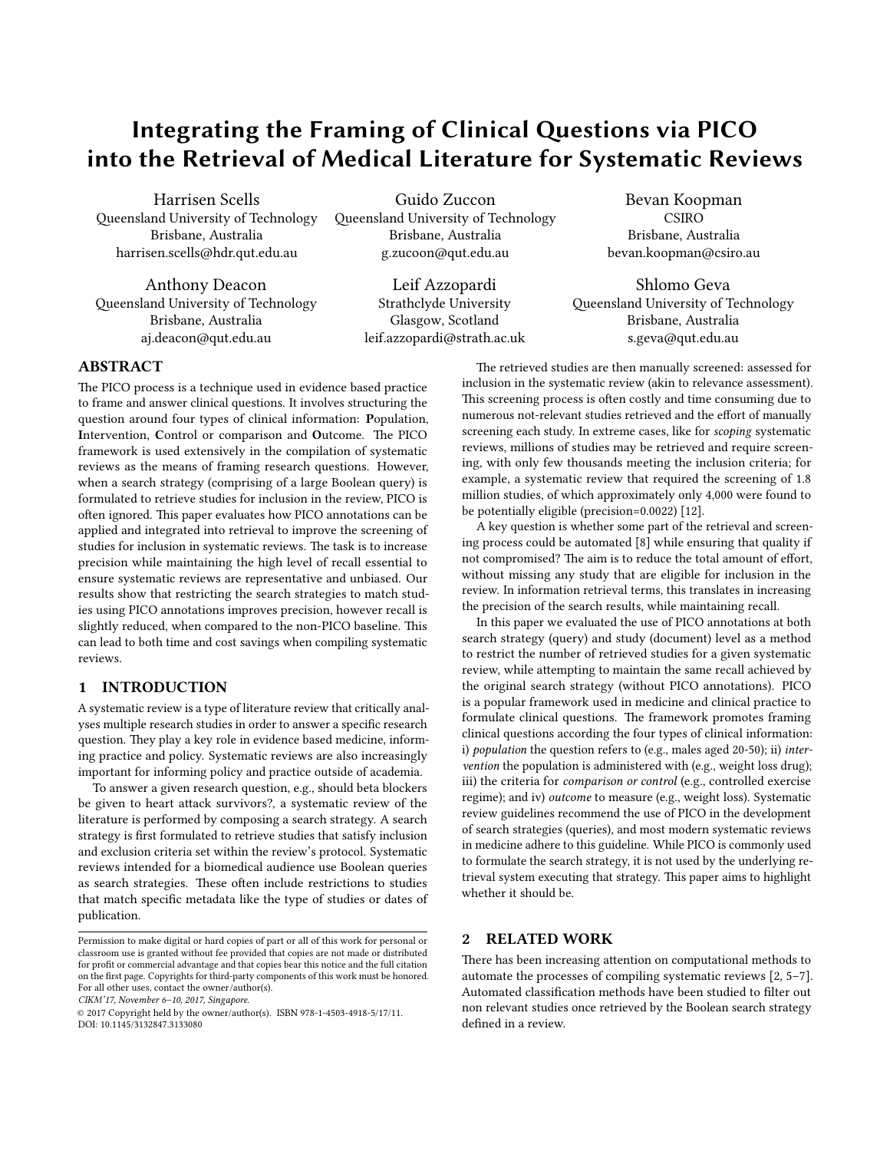# Integrating the Framing of Clinical Questions via PICO into the Retrieval of Medical Literature for Systematic Reviews

Harrisen Scells Queensland University of Technology Brisbane, Australia harrisen.scells@hdr.qut.edu.au

Anthony Deacon Oueensland University of Technology Brisbane, Australia aj.deacon@qut.edu.au

Guido Zuccon Queensland University of Technology Brisbane, Australia g.zucoon@qut.edu.au

> Leif Azzopardi Strathclyde University Glasgow, Scotland leif.azzopardi@strath.ac.uk

Bevan Koopman CSIRO Brisbane, Australia bevan.koopman@csiro.au

Shlomo Geva Oueensland University of Technology Brisbane, Australia s.geva@qut.edu.au

# ABSTRACT

The PICO process is a technique used in evidence based practice to frame and answer clinical questions. It involves structuring the question around four types of clinical information: Population, Intervention, Control or comparison and Outcome. The PICO framework is used extensively in the compilation of systematic reviews as the means of framing research questions. However, when a search strategy (comprising of a large Boolean query) is formulated to retrieve studies for inclusion in the review, PICO is often ignored. This paper evaluates how PICO annotations can be applied and integrated into retrieval to improve the screening of studies for inclusion in systematic reviews. The task is to increase precision while maintaining the high level of recall essential to ensure systematic reviews are representative and unbiased. Our results show that restricting the search strategies to match studies using PICO annotations improves precision, however recall is slightly reduced, when compared to the non-PICO baseline. This can lead to both time and cost savings when compiling systematic reviews.

## 1 INTRODUCTION

A systematic review is a type of literature review that critically analyses multiple research studies in order to answer a specific research question. They play a key role in evidence based medicine, informing practice and policy. Systematic reviews are also increasingly important for informing policy and practice outside of academia.

To answer a given research question, e.g., should beta blockers be given to heart attack survivors?, a systematic review of the literature is performed by composing a search strategy. A search strategy is first formulated to retrieve studies that satisfy inclusion and exclusion criteria set within the review's protocol. Systematic reviews intended for a biomedical audience use Boolean queries as search strategies. These often include restrictions to studies that match specific metadata like the type of studies or dates of publication.

CIKM'17, November 6–10, 2017, Singapore.

The retrieved studies are then manually screened: assessed for inclusion in the systematic review (akin to relevance assessment). This screening process is often costly and time consuming due to numerous not-relevant studies retrieved and the effort of manually screening each study. In extreme cases, like for scoping systematic reviews, millions of studies may be retrieved and require screening, with only few thousands meeting the inclusion criteria; for example, a systematic review that required the screening of 1.8 million studies, of which approximately only 4,000 were found to be potentially eligible (precision=0.0022) [\[12\]](#page-3-0).

A key question is whether some part of the retrieval and screening process could be automated [\[8\]](#page-3-1) while ensuring that quality if not compromised? The aim is to reduce the total amount of effort, without missing any study that are eligible for inclusion in the review. In information retrieval terms, this translates in increasing the precision of the search results, while maintaining recall.

In this paper we evaluated the use of PICO annotations at both search strategy (query) and study (document) level as a method to restrict the number of retrieved studies for a given systematic review, while attempting to maintain the same recall achieved by the original search strategy (without PICO annotations). PICO is a popular framework used in medicine and clinical practice to formulate clinical questions. The framework promotes framing clinical questions according the four types of clinical information: i) population the question refers to (e.g., males aged 20-50); ii) intervention the population is administered with (e.g., weight loss drug); iii) the criteria for *comparison or control* (e.g., controlled exercise regime); and iv) outcome to measure (e.g., weight loss). Systematic review guidelines recommend the use of PICO in the development of search strategies (queries), and most modern systematic reviews in medicine adhere to this guideline. While PICO is commonly used to formulate the search strategy, it is not used by the underlying retrieval system executing that strategy. This paper aims to highlight whether it should be.

#### 2 RELATED WORK

There has been increasing attention on computational methods to automate the processes of compiling systematic reviews [\[2,](#page-3-2) [5](#page-3-3)[–7\]](#page-3-4). Automated classification methods have been studied to filter out non relevant studies once retrieved by the Boolean search strategy defined in a review.

Permission to make digital or hard copies of part or all of this work for personal or classroom use is granted without fee provided that copies are not made or distributed for profit or commercial advantage and that copies bear this notice and the full citation on the first page. Copyrights for third-party components of this work must be honored. For all other uses, contact the owner/author(s).

<sup>©</sup> 2017 Copyright held by the owner/author(s). ISBN 978-1-4503-4918-5/17/11. DOI: 10.1145/3132847.3133080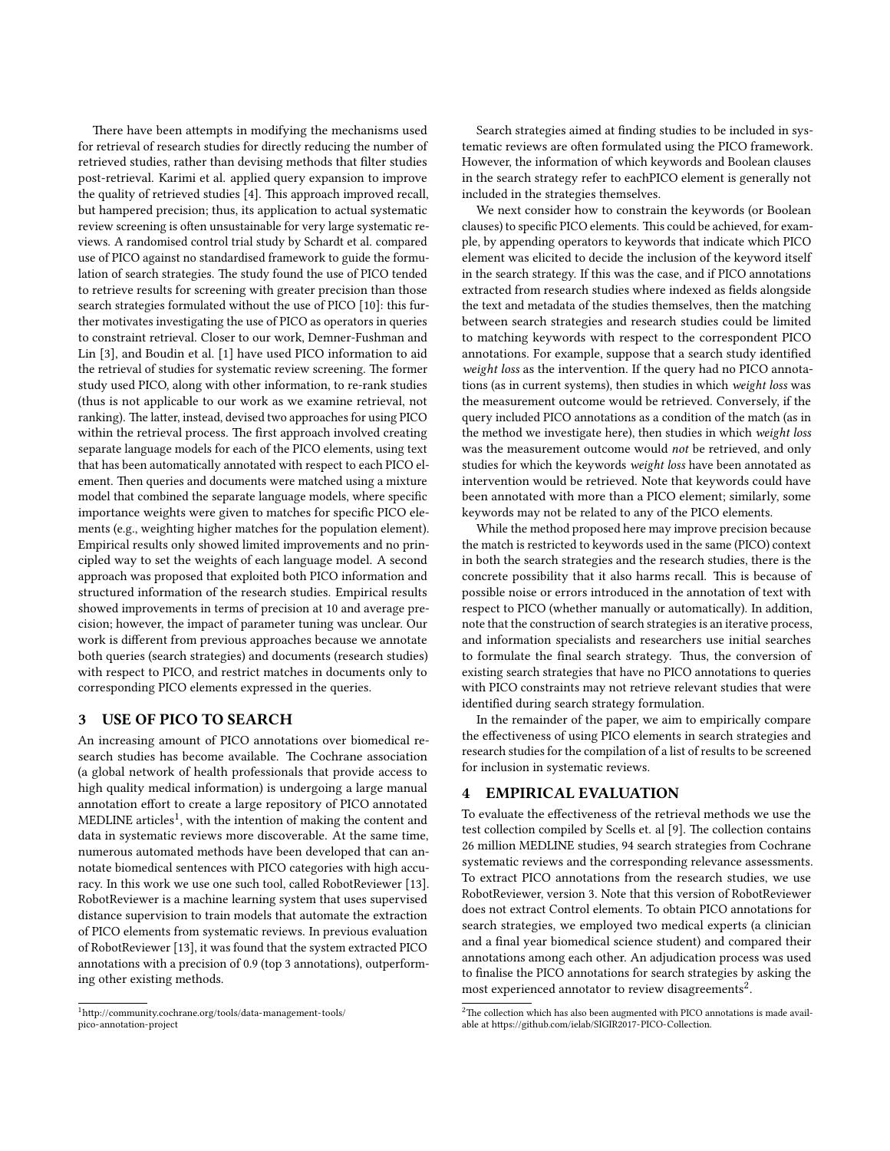There have been attempts in modifying the mechanisms used for retrieval of research studies for directly reducing the number of retrieved studies, rather than devising methods that filter studies post-retrieval. Karimi et al. applied query expansion to improve the quality of retrieved studies [\[4\]](#page-3-5). This approach improved recall, but hampered precision; thus, its application to actual systematic review screening is often unsustainable for very large systematic reviews. A randomised control trial study by Schardt et al. compared use of PICO against no standardised framework to guide the formulation of search strategies. The study found the use of PICO tended to retrieve results for screening with greater precision than those search strategies formulated without the use of PICO [\[10\]](#page-3-6): this further motivates investigating the use of PICO as operators in queries to constraint retrieval. Closer to our work, Demner-Fushman and Lin [\[3\]](#page-3-7), and Boudin et al. [\[1\]](#page-3-8) have used PICO information to aid the retrieval of studies for systematic review screening. The former study used PICO, along with other information, to re-rank studies (thus is not applicable to our work as we examine retrieval, not ranking). The latter, instead, devised two approaches for using PICO within the retrieval process. The first approach involved creating separate language models for each of the PICO elements, using text that has been automatically annotated with respect to each PICO element. Then queries and documents were matched using a mixture model that combined the separate language models, where specific importance weights were given to matches for specific PICO elements (e.g., weighting higher matches for the population element). Empirical results only showed limited improvements and no principled way to set the weights of each language model. A second approach was proposed that exploited both PICO information and structured information of the research studies. Empirical results showed improvements in terms of precision at 10 and average precision; however, the impact of parameter tuning was unclear. Our work is different from previous approaches because we annotate both queries (search strategies) and documents (research studies) with respect to PICO, and restrict matches in documents only to corresponding PICO elements expressed in the queries.

# <span id="page-1-2"></span>3 USE OF PICO TO SEARCH

An increasing amount of PICO annotations over biomedical research studies has become available. The Cochrane association (a global network of health professionals that provide access to high quality medical information) is undergoing a large manual annotation effort to create a large repository of PICO annotated  $\text{MEDLINE}\text{ articles}^1,$  $\text{MEDLINE}\text{ articles}^1,$  $\text{MEDLINE}\text{ articles}^1,$  with the intention of making the content and data in systematic reviews more discoverable. At the same time, numerous automated methods have been developed that can annotate biomedical sentences with PICO categories with high accuracy. In this work we use one such tool, called RobotReviewer [\[13\]](#page-3-9). RobotReviewer is a machine learning system that uses supervised distance supervision to train models that automate the extraction of PICO elements from systematic reviews. In previous evaluation of RobotReviewer [\[13\]](#page-3-9), it was found that the system extracted PICO annotations with a precision of 0.9 (top 3 annotations), outperforming other existing methods.

Search strategies aimed at finding studies to be included in systematic reviews are often formulated using the PICO framework. However, the information of which keywords and Boolean clauses in the search strategy refer to eachPICO element is generally not included in the strategies themselves.

We next consider how to constrain the keywords (or Boolean clauses) to specific PICO elements. This could be achieved, for example, by appending operators to keywords that indicate which PICO element was elicited to decide the inclusion of the keyword itself in the search strategy. If this was the case, and if PICO annotations extracted from research studies where indexed as fields alongside the text and metadata of the studies themselves, then the matching between search strategies and research studies could be limited to matching keywords with respect to the correspondent PICO annotations. For example, suppose that a search study identified weight loss as the intervention. If the query had no PICO annotations (as in current systems), then studies in which weight loss was the measurement outcome would be retrieved. Conversely, if the query included PICO annotations as a condition of the match (as in the method we investigate here), then studies in which weight loss was the measurement outcome would not be retrieved, and only studies for which the keywords weight loss have been annotated as intervention would be retrieved. Note that keywords could have been annotated with more than a PICO element; similarly, some keywords may not be related to any of the PICO elements.

While the method proposed here may improve precision because the match is restricted to keywords used in the same (PICO) context in both the search strategies and the research studies, there is the concrete possibility that it also harms recall. This is because of possible noise or errors introduced in the annotation of text with respect to PICO (whether manually or automatically). In addition, note that the construction of search strategies is an iterative process, and information specialists and researchers use initial searches to formulate the final search strategy. Thus, the conversion of existing search strategies that have no PICO annotations to queries with PICO constraints may not retrieve relevant studies that were identified during search strategy formulation.

In the remainder of the paper, we aim to empirically compare the effectiveness of using PICO elements in search strategies and research studies for the compilation of a list of results to be screened for inclusion in systematic reviews.

# 4 EMPIRICAL EVALUATION

To evaluate the effectiveness of the retrieval methods we use the test collection compiled by Scells et. al [\[9\]](#page-3-10). The collection contains 26 million MEDLINE studies, 94 search strategies from Cochrane systematic reviews and the corresponding relevance assessments. To extract PICO annotations from the research studies, we use RobotReviewer, version 3. Note that this version of RobotReviewer does not extract Control elements. To obtain PICO annotations for search strategies, we employed two medical experts (a clinician and a final year biomedical science student) and compared their annotations among each other. An adjudication process was used to finalise the PICO annotations for search strategies by asking the most experienced annotator to review disagreements $^2.$  $^2.$  $^2.$ 

<span id="page-1-0"></span> $1$ http://community.cochrane.org/tools/data-management-tools/ [pico-annotation-project](http://community.cochrane.org/tools/data-management-tools/pico-annotation-project)

<span id="page-1-1"></span> $2$ The collection which has also been augmented with PICO annotations is made available at https://github.com/ielab/SIGIR2017-PICO-Collection.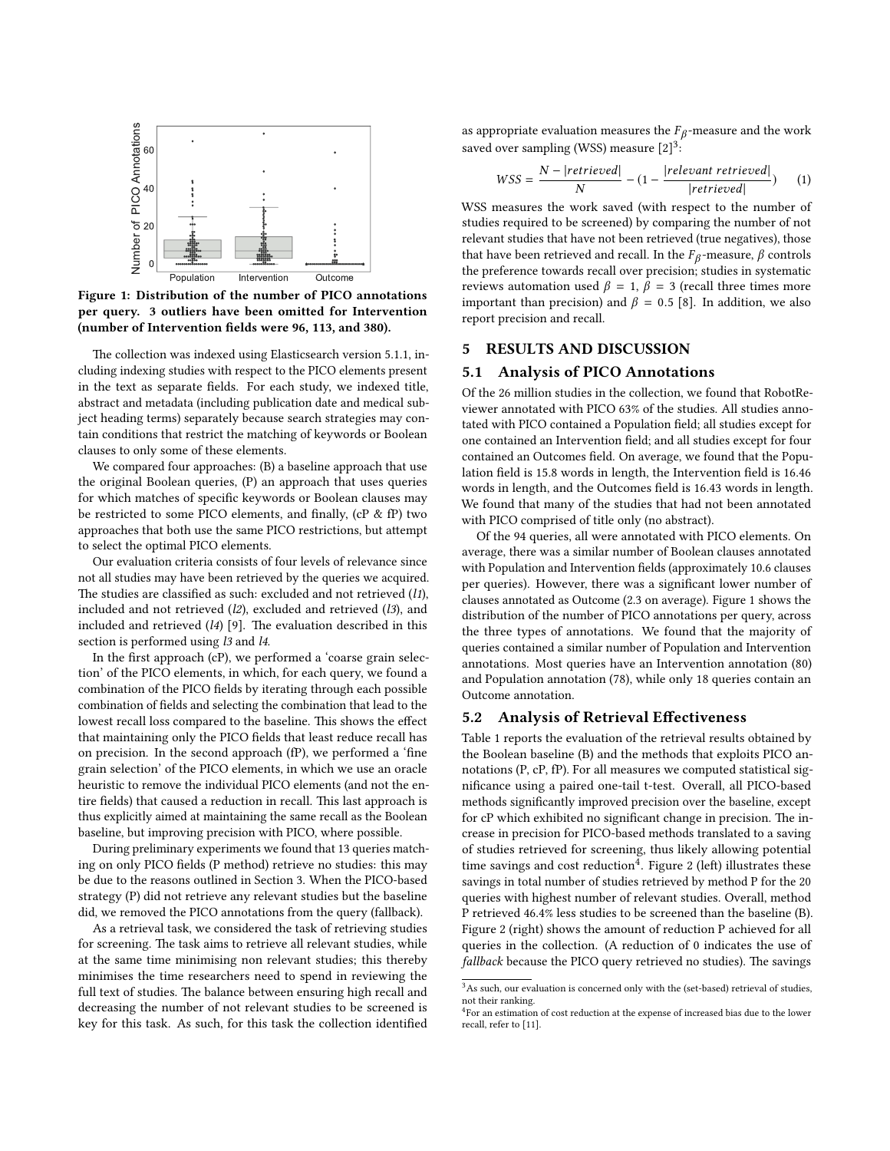<span id="page-2-1"></span>

Figure 1: Distribution of the number of PICO annotations per query. 3 outliers have been omitted for Intervention (number of Intervention fields were 96, 113, and 380).

The collection was indexed using Elasticsearch version 5.1.1, including indexing studies with respect to the PICO elements present in the text as separate fields. For each study, we indexed title, abstract and metadata (including publication date and medical subject heading terms) separately because search strategies may contain conditions that restrict the matching of keywords or Boolean clauses to only some of these elements.

We compared four approaches: (B) a baseline approach that use the original Boolean queries, (P) an approach that uses queries for which matches of specific keywords or Boolean clauses may be restricted to some PICO elements, and finally, (cP & fP) two approaches that both use the same PICO restrictions, but attempt to select the optimal PICO elements.

Our evaluation criteria consists of four levels of relevance since not all studies may have been retrieved by the queries we acquired. The studies are classified as such: excluded and not retrieved  $(11)$ , included and not retrieved (l2), excluded and retrieved (l3), and included and retrieved  $(l4)$  [\[9\]](#page-3-10). The evaluation described in this section is performed using  $13$  and  $14$ .

In the first approach (cP), we performed a 'coarse grain selection' of the PICO elements, in which, for each query, we found a combination of the PICO fields by iterating through each possible combination of fields and selecting the combination that lead to the lowest recall loss compared to the baseline. This shows the effect that maintaining only the PICO fields that least reduce recall has on precision. In the second approach  $(fP)$ , we performed a 'fine grain selection' of the PICO elements, in which we use an oracle heuristic to remove the individual PICO elements (and not the entire fields) that caused a reduction in recall. This last approach is thus explicitly aimed at maintaining the same recall as the Boolean baseline, but improving precision with PICO, where possible.

During preliminary experiments we found that 13 queries matching on only PICO fields (P method) retrieve no studies: this may be due to the reasons outlined in Section [3.](#page-1-2) When the PICO-based strategy (P) did not retrieve any relevant studies but the baseline did, we removed the PICO annotations from the query (fallback).

As a retrieval task, we considered the task of retrieving studies for screening. The task aims to retrieve all relevant studies, while at the same time minimising non relevant studies; this thereby minimises the time researchers need to spend in reviewing the full text of studies. The balance between ensuring high recall and decreasing the number of not relevant studies to be screened is key for this task. As such, for this task the collection identified as appropriate evaluation measures the  $F_{\beta}$ -measure and the work saved over sampling (WSS) measure  $[2]^3$  $[2]^3$  $[2]^3$ :

$$
WSS = \frac{N - |retrieved|}{N} - (1 - \frac{|relevant\text{ retrieved}|}{|retrieved|})
$$
 (1)  
WSS measures the work saved (with respect to the number of

studies required to be screened) by comparing the number of not relevant studies that have not been retrieved (true negatives), those that have been retrieved and recall. In the  $F_\beta$ -measure, β controls the preference towards recall over precision: studies in systematic the preference towards recall over precision; studies in systematic reviews automation used  $\beta = 1$ ,  $\beta = 3$  (recall three times more important than precision) and  $β = 0.5$  [\[8\]](#page-3-1). In addition, we also report precision and recall.

#### 5 RESULTS AND DISCUSSION

#### 5.1 Analysis of PICO Annotations

Of the 26 million studies in the collection, we found that RobotReviewer annotated with PICO 63% of the studies. All studies annotated with PICO contained a Population field; all studies except for one contained an Intervention field; and all studies except for four contained an Outcomes field. On average, we found that the Population field is 15.8 words in length, the Intervention field is 16.46 words in length, and the Outcomes field is 16.43 words in length. We found that many of the studies that had not been annotated with PICO comprised of title only (no abstract).

Of the 94 queries, all were annotated with PICO elements. On average, there was a similar number of Boolean clauses annotated with Population and Intervention fields (approximately 10.6 clauses per queries). However, there was a significant lower number of clauses annotated as Outcome (2.3 on average). Figure [1](#page-2-1) shows the distribution of the number of PICO annotations per query, across the three types of annotations. We found that the majority of queries contained a similar number of Population and Intervention annotations. Most queries have an Intervention annotation (80) and Population annotation (78), while only 18 queries contain an Outcome annotation.

### 5.2 Analysis of Retrieval Effectiveness

Table [1](#page-3-11) reports the evaluation of the retrieval results obtained by the Boolean baseline (B) and the methods that exploits PICO annotations (P, cP, fP). For all measures we computed statistical signicance using a paired one-tail t-test. Overall, all PICO-based methods significantly improved precision over the baseline, except for cP which exhibited no significant change in precision. The increase in precision for PICO-based methods translated to a saving of studies retrieved for screening, thus likely allowing potential time savings and cost reduction $^4$  $^4$ . Figure [2](#page-3-12) (left) illustrates these savings in total number of studies retrieved by method P for the 20 queries with highest number of relevant studies. Overall, method P retrieved 46.4% less studies to be screened than the baseline (B). Figure [2](#page-3-12) (right) shows the amount of reduction P achieved for all queries in the collection. (A reduction of 0 indicates the use of fallback because the PICO query retrieved no studies). The savings

<span id="page-2-0"></span> $^3\mathrm{As}$  such, our evaluation is concerned only with the (set-based) retrieval of studies, not their ranking.

<span id="page-2-2"></span><sup>&</sup>lt;sup>4</sup>For an estimation of cost reduction at the expense of increased bias due to the lower recall, refer to [\[11\]](#page-3-13).